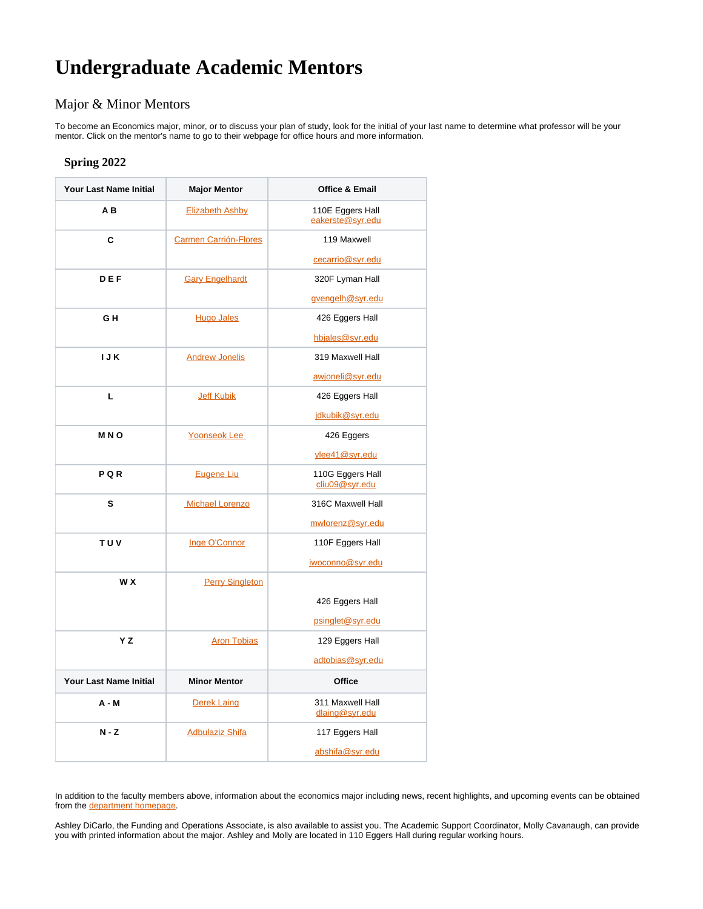## **Undergraduate Academic Mentors**

## Major & Minor Mentors

To become an Economics major, minor, or to discuss your plan of study, look for the initial of your last name to determine what professor will be your mentor. Click on the mentor's name to go to their webpage for office hours and more information.

## **Spring 2022**

| <b>Your Last Name Initial</b> | <b>Major Mentor</b>          | <b>Office &amp; Email</b>            |
|-------------------------------|------------------------------|--------------------------------------|
| AB                            | <b>Elizabeth Ashby</b>       | 110E Eggers Hall<br>eakerste@svr.edu |
| C                             | <b>Carmen Carrión-Flores</b> | 119 Maxwell                          |
|                               |                              | cecarrio@syr.edu                     |
| DEF                           | <b>Gary Engelhardt</b>       | 320F Lyman Hall                      |
|                               |                              | gvengelh@svr.edu                     |
| GH                            | <b>Hugo Jales</b>            | 426 Eggers Hall                      |
|                               |                              | hbjales@syr.edu                      |
| <b>IJK</b>                    | <b>Andrew Jonelis</b>        | 319 Maxwell Hall                     |
|                               |                              | awjoneli@syr.edu                     |
| L                             | <b>Jeff Kubik</b>            | 426 Eggers Hall                      |
|                               |                              | idkubik@svr.edu                      |
| <b>MNO</b>                    | Yoonseok Lee                 | 426 Eggers                           |
|                               |                              | vlee41@svr.edu                       |
| PQR                           | <b>Eugene Liu</b>            | 110G Eggers Hall<br>cliu09@syr.edu   |
| s                             | <b>Michael Lorenzo</b>       | 316C Maxwell Hall                    |
|                               |                              | mwlorenz@svr.edu                     |
| <b>TUV</b>                    | Inge O'Connor                | 110F Eggers Hall                     |
|                               |                              | iwoconno@svr.edu                     |
| W X                           | <b>Perry Singleton</b>       |                                      |
|                               |                              | 426 Eggers Hall                      |
|                               |                              | psinglet@syr.edu                     |
| Y Z                           | <b>Aron Tobias</b>           | 129 Eggers Hall                      |
|                               |                              | adtobias@svr.edu                     |
| <b>Your Last Name Initial</b> | <b>Minor Mentor</b>          | <b>Office</b>                        |
| $A - M$                       | <b>Derek Laing</b>           | 311 Maxwell Hall<br>dlaing@syr.edu   |
| $N - Z$                       | <b>Adbulaziz Shifa</b>       | 117 Eggers Hall                      |
|                               |                              | abshifa@syr.edu                      |

In addition to the faculty members above, information about the economics major including news, recent highlights, and upcoming events can be obtained from the [department homepage](https://www.maxwell.syr.edu/econ/default.htm).

Ashley DiCarlo, the Funding and Operations Associate, is also available to assist you. The Academic Support Coordinator, Molly Cavanaugh, can provide you with printed information about the major. Ashley and Molly are located in 110 Eggers Hall during regular working hours.